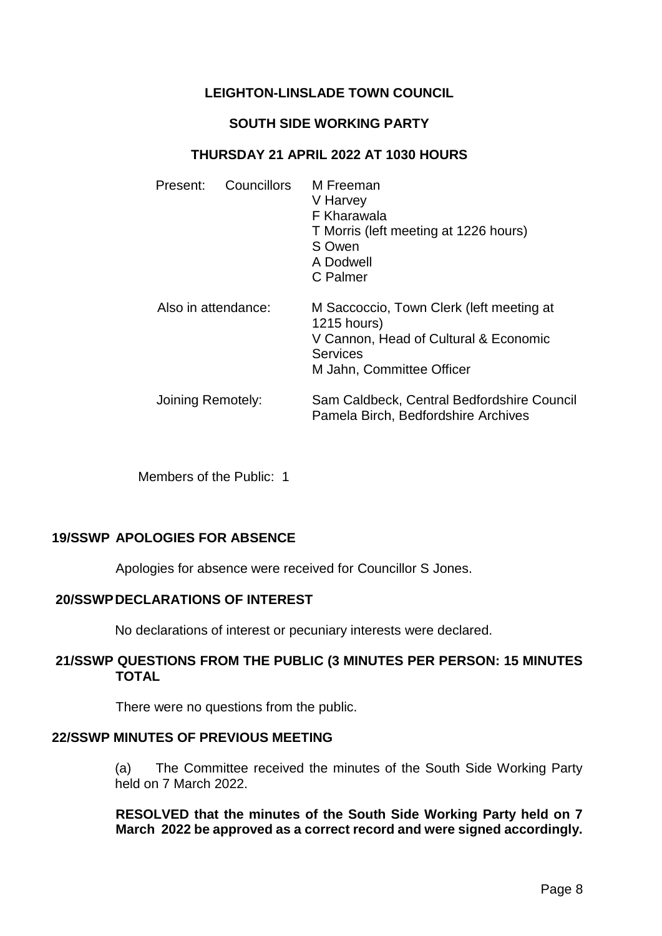# **LEIGHTON-LINSLADE TOWN COUNCIL**

# **SOUTH SIDE WORKING PARTY**

# **THURSDAY 21 APRIL 2022 AT 1030 HOURS**

|  | Present:                                 | <b>Councillors</b> | M Freeman<br>V Harvey<br>F Kharawala<br>T Morris (left meeting at 1226 hours)<br>S Owen<br>A Dodwell<br>C Palmer                                 |
|--|------------------------------------------|--------------------|--------------------------------------------------------------------------------------------------------------------------------------------------|
|  | Also in attendance:<br>Joining Remotely: |                    | M Saccoccio, Town Clerk (left meeting at<br>1215 hours)<br>V Cannon, Head of Cultural & Economic<br><b>Services</b><br>M Jahn, Committee Officer |
|  |                                          |                    | Sam Caldbeck, Central Bedfordshire Council<br>Pamela Birch, Bedfordshire Archives                                                                |

Members of the Public: 1

# **19/SSWP APOLOGIES FOR ABSENCE**

Apologies for absence were received for Councillor S Jones.

# **20/SSWPDECLARATIONS OF INTEREST**

No declarations of interest or pecuniary interests were declared.

# **21/SSWP QUESTIONS FROM THE PUBLIC (3 MINUTES PER PERSON: 15 MINUTES TOTAL**

There were no questions from the public.

# **22/SSWP MINUTES OF PREVIOUS MEETING**

(a) The Committee received the minutes of the South Side Working Party held on 7 March 2022.

**RESOLVED that the minutes of the South Side Working Party held on 7 March 2022 be approved as a correct record and were signed accordingly.**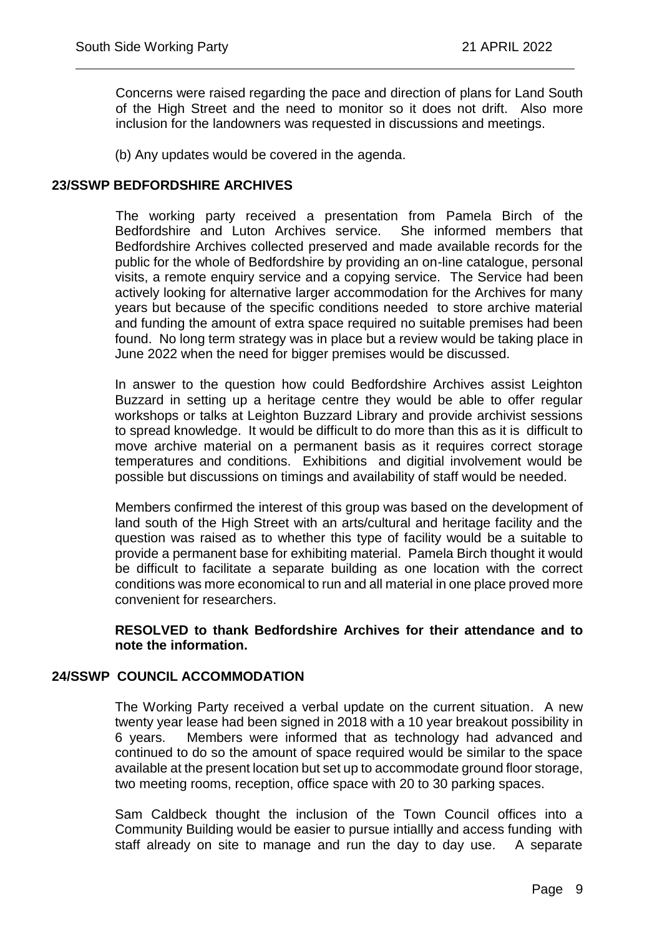Concerns were raised regarding the pace and direction of plans for Land South of the High Street and the need to monitor so it does not drift. Also more inclusion for the landowners was requested in discussions and meetings.

 $\overline{a}$ 

(b) Any updates would be covered in the agenda.

### **23/SSWP BEDFORDSHIRE ARCHIVES**

The working party received a presentation from Pamela Birch of the Bedfordshire and Luton Archives service. She informed members that Bedfordshire Archives collected preserved and made available records for the public for the whole of Bedfordshire by providing an on-line catalogue, personal visits, a remote enquiry service and a copying service. The Service had been actively looking for alternative larger accommodation for the Archives for many years but because of the specific conditions needed to store archive material and funding the amount of extra space required no suitable premises had been found. No long term strategy was in place but a review would be taking place in June 2022 when the need for bigger premises would be discussed.

In answer to the question how could Bedfordshire Archives assist Leighton Buzzard in setting up a heritage centre they would be able to offer regular workshops or talks at Leighton Buzzard Library and provide archivist sessions to spread knowledge. It would be difficult to do more than this as it is difficult to move archive material on a permanent basis as it requires correct storage temperatures and conditions. Exhibitions and digitial involvement would be possible but discussions on timings and availability of staff would be needed.

Members confirmed the interest of this group was based on the development of land south of the High Street with an arts/cultural and heritage facility and the question was raised as to whether this type of facility would be a suitable to provide a permanent base for exhibiting material. Pamela Birch thought it would be difficult to facilitate a separate building as one location with the correct conditions was more economical to run and all material in one place proved more convenient for researchers.

**RESOLVED to thank Bedfordshire Archives for their attendance and to note the information.**

# **24/SSWP COUNCIL ACCOMMODATION**

The Working Party received a verbal update on the current situation. A new twenty year lease had been signed in 2018 with a 10 year breakout possibility in 6 years. Members were informed that as technology had advanced and continued to do so the amount of space required would be similar to the space available at the present location but set up to accommodate ground floor storage, two meeting rooms, reception, office space with 20 to 30 parking spaces.

Sam Caldbeck thought the inclusion of the Town Council offices into a Community Building would be easier to pursue intiallly and access funding with staff already on site to manage and run the day to day use. A separate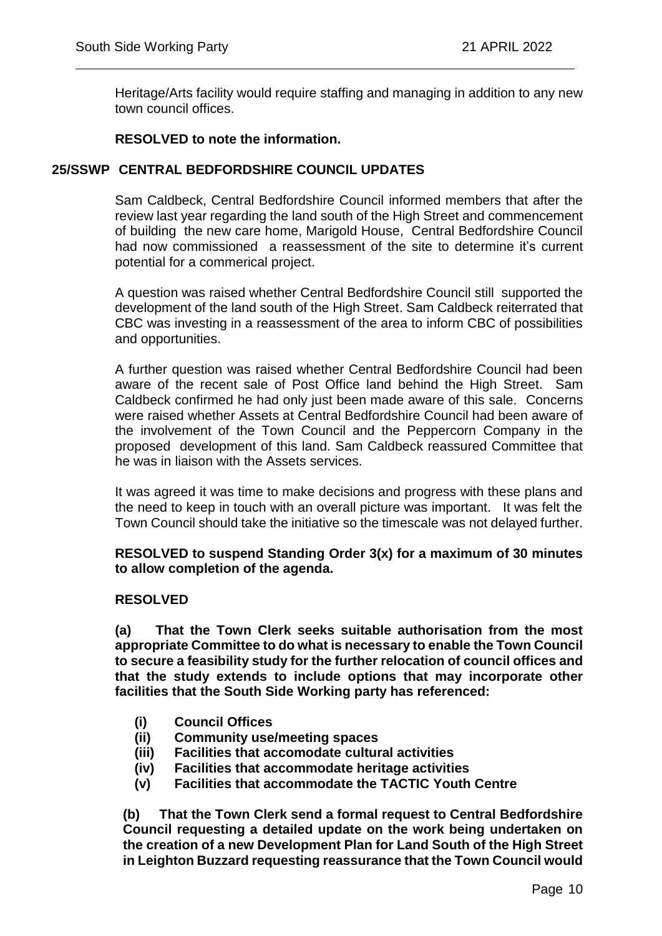Heritage/Arts facility would require staffing and managing in addition to any new town council offices.

 $\overline{a}$ 

# **RESOLVED to note the information.**

# **25/SSWP CENTRAL BEDFORDSHIRE COUNCIL UPDATES**

Sam Caldbeck, Central Bedfordshire Council informed members that after the review last year regarding the land south of the High Street and commencement of building the new care home, Marigold House, Central Bedfordshire Council had now commissioned a reassessment of the site to determine it's current potential for a commerical project.

A question was raised whether Central Bedfordshire Council still supported the development of the land south of the High Street. Sam Caldbeck reiterrated that CBC was investing in a reassessment of the area to inform CBC of possibilities and opportunities.

A further question was raised whether Central Bedfordshire Council had been aware of the recent sale of Post Office land behind the High Street. Sam Caldbeck confirmed he had only just been made aware of this sale. Concerns were raised whether Assets at Central Bedfordshire Council had been aware of the involvement of the Town Council and the Peppercorn Company in the proposed development of this land. Sam Caldbeck reassured Committee that he was in liaison with the Assets services.

It was agreed it was time to make decisions and progress with these plans and the need to keep in touch with an overall picture was important. It was felt the Town Council should take the initiative so the timescale was not delayed further.

#### **RESOLVED to suspend Standing Order 3(x) for a maximum of 30 minutes to allow completion of the agenda.**

# **RESOLVED**

**(a) That the Town Clerk seeks suitable authorisation from the most appropriate Committee to do what is necessary to enable the Town Council to secure a feasibility study for the further relocation of council offices and that the study extends to include options that may incorporate other facilities that the South Side Working party has referenced:**

- **(i) Council Offices**
- **(ii) Community use/meeting spaces**
- **(iii) Facilities that accomodate cultural activities**
- **(iv) Facilities that accommodate heritage activities**
- **(v) Facilities that accommodate the TACTIC Youth Centre**

**(b) That the Town Clerk send a formal request to Central Bedfordshire Council requesting a detailed update on the work being undertaken on the creation of a new Development Plan for Land South of the High Street in Leighton Buzzard requesting reassurance that the Town Council would**